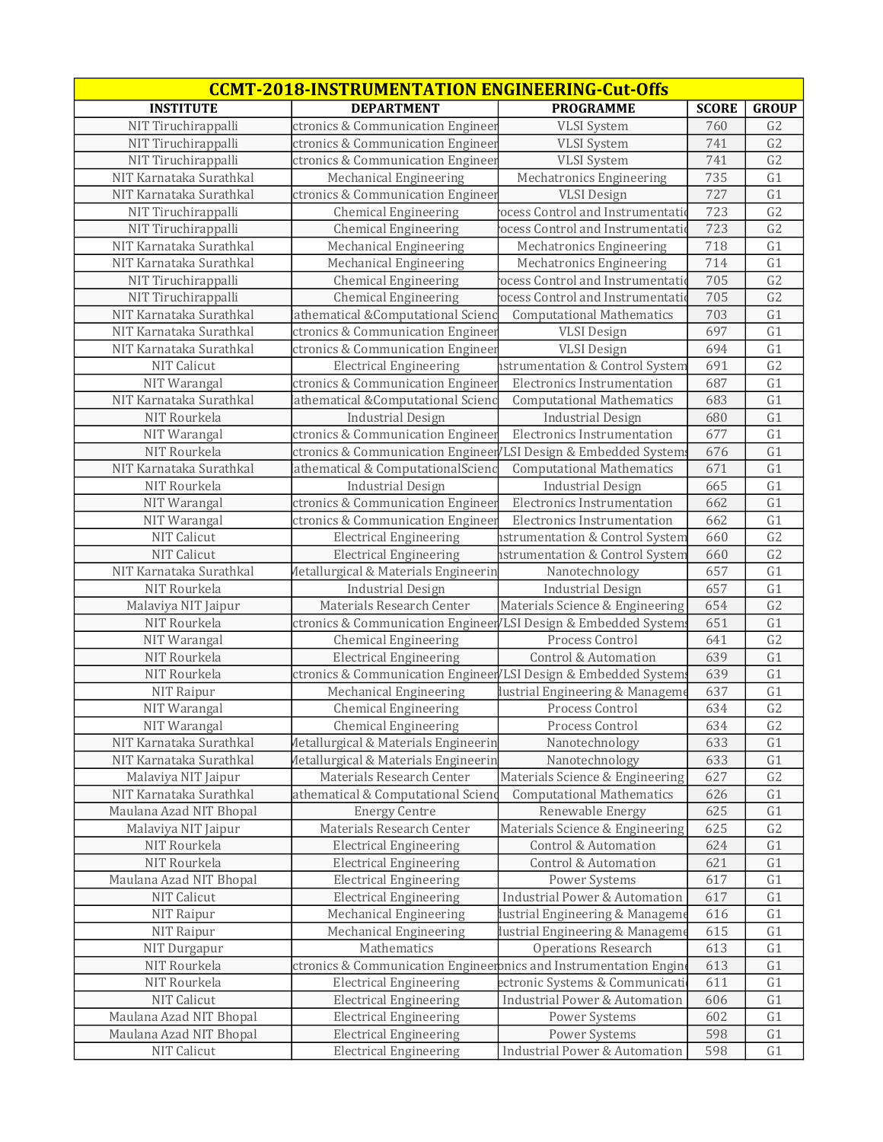| <b>CCMT-2018-INSTRUMENTATION ENGINEERING-Cut-Offs</b> |                                                                   |                                                      |              |                      |  |
|-------------------------------------------------------|-------------------------------------------------------------------|------------------------------------------------------|--------------|----------------------|--|
| <b>INSTITUTE</b>                                      | <b>DEPARTMENT</b>                                                 | <b>PROGRAMME</b>                                     | <b>SCORE</b> | <b>GROUP</b>         |  |
| NIT Tiruchirappalli                                   | ctronics & Communication Engineer                                 | <b>VLSI System</b>                                   | 760          | G <sub>2</sub>       |  |
| NIT Tiruchirappalli                                   | ctronics & Communication Engineer                                 | <b>VLSI</b> System                                   | 741          | G <sub>2</sub>       |  |
| NIT Tiruchirappalli                                   | ctronics & Communication Engineer                                 | <b>VLSI</b> System                                   | 741          | G <sub>2</sub>       |  |
| NIT Karnataka Surathkal                               | Mechanical Engineering                                            | Mechatronics Engineering                             | 735          | G1                   |  |
| NIT Karnataka Surathkal                               | ctronics & Communication Engineer                                 | <b>VLSI</b> Design                                   | 727          | G1                   |  |
| NIT Tiruchirappalli                                   | <b>Chemical Engineering</b>                                       | ocess Control and Instrumentatio                     | 723          | G <sub>2</sub>       |  |
| NIT Tiruchirappalli                                   | <b>Chemical Engineering</b>                                       | ocess Control and Instrumentation                    | 723          | G <sub>2</sub>       |  |
| NIT Karnataka Surathkal                               | Mechanical Engineering                                            | Mechatronics Engineering                             | 718          | G1                   |  |
| NIT Karnataka Surathkal                               | Mechanical Engineering                                            | Mechatronics Engineering                             | 714          | G1                   |  |
| NIT Tiruchirappalli                                   | <b>Chemical Engineering</b>                                       | ocess Control and Instrumentation                    | 705          | G <sub>2</sub>       |  |
| NIT Tiruchirappalli                                   | <b>Chemical Engineering</b>                                       | ocess Control and Instrumentation                    | 705          | G <sub>2</sub>       |  |
| NIT Karnataka Surathkal                               | athematical &Computational Scienc                                 | <b>Computational Mathematics</b>                     | 703          | G1                   |  |
| NIT Karnataka Surathkal                               | ctronics & Communication Engineer                                 | <b>VLSI</b> Design                                   | 697          | G1                   |  |
| NIT Karnataka Surathkal                               | ctronics & Communication Engineer                                 | <b>VLSI</b> Design                                   | 694          | G1                   |  |
| <b>NIT Calicut</b>                                    | <b>Electrical Engineering</b>                                     | istrumentation & Control System                      | 691          | G <sub>2</sub>       |  |
| NIT Warangal                                          | ctronics & Communication Engineer                                 | Electronics Instrumentation                          | 687          | G1                   |  |
| NIT Karnataka Surathkal                               | athematical &Computational Scienc                                 | <b>Computational Mathematics</b>                     | 683          | G1                   |  |
| NIT Rourkela                                          | <b>Industrial Design</b>                                          | <b>Industrial Design</b>                             | 680          | G1                   |  |
| NIT Warangal                                          | ctronics & Communication Engineer                                 | Electronics Instrumentation                          | 677          | G1                   |  |
| NIT Rourkela                                          | ctronics & Communication Engineer/LSI Design & Embedded Systems   |                                                      | 676          | G1                   |  |
| NIT Karnataka Surathkal                               | athematical & ComputationalScienc                                 | <b>Computational Mathematics</b>                     | 671          | G1                   |  |
| NIT Rourkela                                          | <b>Industrial Design</b>                                          | <b>Industrial Design</b>                             | 665          | G1                   |  |
| NIT Warangal                                          | ctronics & Communication Engineer                                 | <b>Electronics Instrumentation</b>                   | 662          | G1                   |  |
| NIT Warangal                                          | ctronics & Communication Engineer                                 | <b>Electronics Instrumentation</b>                   | 662          | G1                   |  |
| NIT Calicut                                           | <b>Electrical Engineering</b>                                     | strumentation & Control System                       | 660          | G <sub>2</sub>       |  |
| <b>NIT Calicut</b>                                    | <b>Electrical Engineering</b>                                     | nstrumentation & Control System                      | 660          | G <sub>2</sub>       |  |
| NIT Karnataka Surathkal                               | <b>Metallurgical &amp; Materials Engineerin</b>                   | Nanotechnology                                       | 657          | G1                   |  |
| NIT Rourkela                                          | <b>Industrial Design</b>                                          | <b>Industrial Design</b>                             | 657          | G1                   |  |
| Malaviya NIT Jaipur                                   | Materials Research Center                                         | Materials Science & Engineering                      | 654          | G <sub>2</sub>       |  |
| NIT Rourkela                                          | ctronics & Communication Engineer/LSI Design & Embedded Systems   |                                                      | 651          | G1                   |  |
| NIT Warangal                                          | <b>Chemical Engineering</b>                                       | Process Control                                      | 641          | G <sub>2</sub>       |  |
| NIT Rourkela                                          | <b>Electrical Engineering</b>                                     | Control & Automation                                 | 639          | G1                   |  |
| NIT Rourkela                                          | ctronics & Communication Engineer LSI Design & Embedded Systems   |                                                      | 639          | G1                   |  |
| NIT Raipur                                            | Mechanical Engineering                                            | lustrial Engineering & Manageme                      | 637          | G1                   |  |
| NIT Warangal                                          | <b>Chemical Engineering</b>                                       | Process Control                                      | 634          | G <sub>2</sub>       |  |
| NIT Warangal                                          | <b>Chemical Engineering</b>                                       | Process Control                                      | 634          | G2                   |  |
| NIT Karnataka Surathkal                               | Metallurgical & Materials Engineerin                              | Nanotechnology                                       | 633          | G1                   |  |
| NIT Karnataka Surathkal                               | Metallurgical & Materials Engineerin                              | Nanotechnology                                       | 633          | G1                   |  |
| Malaviya NIT Jaipur<br>NIT Karnataka Surathkal        | Materials Research Center                                         | Materials Science & Engineering                      | 627<br>626   | G <sub>2</sub><br>G1 |  |
| Maulana Azad NIT Bhopal                               | athematical & Computational Scienc<br><b>Energy Centre</b>        | <b>Computational Mathematics</b><br>Renewable Energy | 625          | G1                   |  |
| Malaviya NIT Jaipur                                   | Materials Research Center                                         | Materials Science & Engineering                      | 625          | G <sub>2</sub>       |  |
| NIT Rourkela                                          | <b>Electrical Engineering</b>                                     | <b>Control &amp; Automation</b>                      | 624          | G1                   |  |
| NIT Rourkela                                          | <b>Electrical Engineering</b>                                     | Control & Automation                                 | 621          | G1                   |  |
| Maulana Azad NIT Bhopal                               | <b>Electrical Engineering</b>                                     | Power Systems                                        | 617          | G1                   |  |
| NIT Calicut                                           | <b>Electrical Engineering</b>                                     | <b>Industrial Power &amp; Automation</b>             | 617          | G1                   |  |
| NIT Raipur                                            | Mechanical Engineering                                            | lustrial Engineering & Manageme                      | 616          | G1                   |  |
| NIT Raipur                                            | Mechanical Engineering                                            | lustrial Engineering & Manageme                      | 615          | G1                   |  |
| NIT Durgapur                                          | Mathematics                                                       | <b>Operations Research</b>                           | 613          | G1                   |  |
| NIT Rourkela                                          | ctronics & Communication Engineeronics and Instrumentation Engine |                                                      | 613          | G1                   |  |
| NIT Rourkela                                          | <b>Electrical Engineering</b>                                     | ectronic Systems & Communicati                       | 611          | G1                   |  |
| NIT Calicut                                           | <b>Electrical Engineering</b>                                     | <b>Industrial Power &amp; Automation</b>             | 606          | G1                   |  |
| Maulana Azad NIT Bhopal                               | <b>Electrical Engineering</b>                                     | Power Systems                                        | 602          | G1                   |  |
| Maulana Azad NIT Bhopal                               | <b>Electrical Engineering</b>                                     | Power Systems                                        | 598          | G1                   |  |
| NIT Calicut                                           | <b>Electrical Engineering</b>                                     | <b>Industrial Power &amp; Automation</b>             | 598          | G1                   |  |
|                                                       |                                                                   |                                                      |              |                      |  |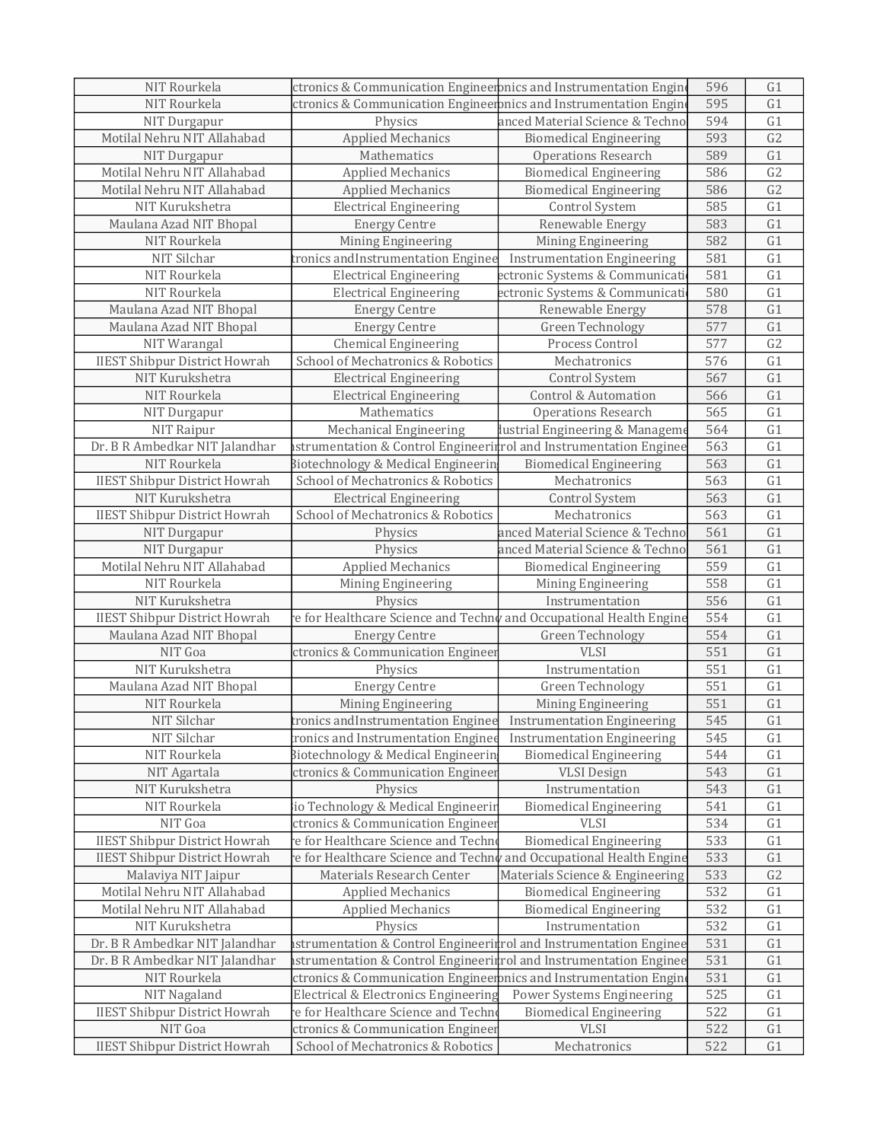| NIT Rourkela                                                     | ctronics & Communication Engineeronics and Instrumentation Engine           |                                                            | 596        | G1             |
|------------------------------------------------------------------|-----------------------------------------------------------------------------|------------------------------------------------------------|------------|----------------|
| NIT Rourkela                                                     | ctronics & Communication Engineeronics and Instrumentation Engine           |                                                            | 595        | G1             |
| NIT Durgapur                                                     | Physics<br>anced Material Science & Techno                                  |                                                            | 594        | G1             |
| Motilal Nehru NIT Allahabad                                      | <b>Applied Mechanics</b><br><b>Biomedical Engineering</b>                   |                                                            | 593        | G2             |
| NIT Durgapur                                                     | Mathematics                                                                 | <b>Operations Research</b>                                 | 589        | G1             |
| Motilal Nehru NIT Allahabad                                      | <b>Applied Mechanics</b>                                                    | <b>Biomedical Engineering</b>                              | 586        | G <sub>2</sub> |
| Motilal Nehru NIT Allahabad                                      | <b>Applied Mechanics</b>                                                    | <b>Biomedical Engineering</b>                              | 586        | G <sub>2</sub> |
| NIT Kurukshetra                                                  | <b>Electrical Engineering</b>                                               | Control System                                             | 585        | G1             |
| Maulana Azad NIT Bhopal                                          | <b>Energy Centre</b>                                                        | Renewable Energy                                           | 583        | G1             |
| NIT Rourkela                                                     | Mining Engineering                                                          | Mining Engineering                                         | 582        | G1             |
| NIT Silchar                                                      | tronics and Instrumentation Enginee                                         | <b>Instrumentation Engineering</b>                         | 581        | G1             |
| NIT Rourkela                                                     | <b>Electrical Engineering</b>                                               | ectronic Systems & Communicati                             | 581        | G1             |
| NIT Rourkela                                                     | <b>Electrical Engineering</b>                                               | ectronic Systems & Communicati                             | 580        | G1             |
| Maulana Azad NIT Bhopal                                          | <b>Energy Centre</b>                                                        | Renewable Energy                                           | 578        | G1             |
| Maulana Azad NIT Bhopal                                          | <b>Energy Centre</b>                                                        | Green Technology                                           | 577        | G1             |
| NIT Warangal                                                     | <b>Chemical Engineering</b>                                                 | Process Control                                            | 577        | G <sub>2</sub> |
| <b>IIEST Shibpur District Howrah</b>                             | School of Mechatronics & Robotics                                           | Mechatronics                                               | 576        | G1             |
| NIT Kurukshetra                                                  | <b>Electrical Engineering</b>                                               | Control System                                             | 567        | G1             |
| NIT Rourkela                                                     | <b>Electrical Engineering</b>                                               | <b>Control &amp; Automation</b>                            | 566        | G1             |
| NIT Durgapur                                                     | Mathematics                                                                 | <b>Operations Research</b>                                 | 565        | G1             |
| NIT Raipur                                                       | Mechanical Engineering                                                      | lustrial Engineering & Manageme                            | 564        | G1             |
| Dr. B R Ambedkar NIT Jalandhar                                   | strumentation & Control Engineerirrol and Instrumentation Enginee           |                                                            | 563        | G1             |
| NIT Rourkela                                                     | Biotechnology & Medical Engineerin                                          | <b>Biomedical Engineering</b>                              | 563        | G1             |
| <b>IIEST Shibpur District Howrah</b>                             | School of Mechatronics & Robotics                                           | Mechatronics                                               | 563        | G1             |
| NIT Kurukshetra                                                  | <b>Electrical Engineering</b>                                               | Control System                                             | 563        | G1             |
| <b>IIEST Shibpur District Howrah</b>                             | School of Mechatronics & Robotics                                           | Mechatronics                                               | 563        | G1             |
| NIT Durgapur                                                     | Physics                                                                     | anced Material Science & Techno                            | 561        | G1             |
| NIT Durgapur                                                     | Physics                                                                     | anced Material Science & Techno                            | 561        | G1             |
| Motilal Nehru NIT Allahabad                                      | <b>Applied Mechanics</b>                                                    | <b>Biomedical Engineering</b>                              | 559        | G1             |
| NIT Rourkela                                                     | Mining Engineering                                                          | Mining Engineering                                         | 558        | G1             |
| NIT Kurukshetra                                                  | Physics                                                                     | Instrumentation                                            | 556        | G1             |
| <b>IIEST Shibpur District Howrah</b>                             | e for Healthcare Science and Techn $\rlap/v$ and Occupational Health Engine |                                                            | 554        | G1             |
| Maulana Azad NIT Bhopal                                          | <b>Energy Centre</b>                                                        | Green Technology                                           | 554        | G1             |
| NIT Goa                                                          | ctronics & Communication Engineer                                           | <b>VLSI</b>                                                | 551        | G1             |
| NIT Kurukshetra                                                  | Physics                                                                     | Instrumentation                                            | 551        | G1             |
| Maulana Azad NIT Bhopal                                          | <b>Energy Centre</b>                                                        | <b>Green Technology</b>                                    | 551        | G1             |
| NIT Rourkela                                                     | Mining Engineering                                                          | Mining Engineering                                         | 551        | G1             |
| NIT Silchar                                                      | tronics andInstrumentation Enginee Instrumentation Engineering              |                                                            | 545        | G1             |
| NIT Silchar                                                      | ronics and Instrumentation Enginee                                          | <b>Instrumentation Engineering</b>                         | 545        | G <sub>1</sub> |
| NIT Rourkela                                                     | Biotechnology & Medical Engineerin                                          | <b>Biomedical Engineering</b>                              | 544        | G1             |
| NIT Agartala                                                     | ctronics & Communication Engineer                                           | <b>VLSI</b> Design                                         | 543        | G1             |
| NIT Kurukshetra                                                  | Physics                                                                     | Instrumentation                                            | 543        | G1             |
| NIT Rourkela                                                     | io Technology & Medical Engineerin                                          | <b>Biomedical Engineering</b>                              | 541        | G1             |
| NIT Goa                                                          | ctronics & Communication Engineer                                           | <b>VLSI</b>                                                | 534        | G1             |
| <b>IIEST Shibpur District Howrah</b>                             | e for Healthcare Science and Techno                                         | <b>Biomedical Engineering</b>                              | 533        | G1             |
| <b>IIEST Shibpur District Howrah</b>                             | e for Healthcare Science and Techn $\rlap/v$ and Occupational Health Engine |                                                            | 533        | G1             |
| Malaviya NIT Jaipur                                              | Materials Research Center                                                   | Materials Science & Engineering                            | 533        | G2             |
| Motilal Nehru NIT Allahabad                                      | <b>Applied Mechanics</b>                                                    | <b>Biomedical Engineering</b>                              | 532        | G1             |
| Motilal Nehru NIT Allahabad                                      | <b>Applied Mechanics</b>                                                    | <b>Biomedical Engineering</b>                              | 532<br>532 | G1             |
| NIT Kurukshetra                                                  | Physics                                                                     | Instrumentation                                            |            | G1             |
| Dr. B R Ambedkar NIT Jalandhar<br>Dr. B R Ambedkar NIT Jalandhar | strumentation & Control Engineeritrol and Instrumentation Enginee           |                                                            | 531        | G1             |
|                                                                  | strumentation & Control Engineerirrol and Instrumentation Enginee           |                                                            | 531        | G1             |
| NIT Rourkela                                                     | ctronics & Communication Engineeronics and Instrumentation Engine           |                                                            | 531        | G1             |
| NIT Nagaland<br><b>IIEST Shibpur District Howrah</b>             | Electrical & Electronics Engineering<br>e for Healthcare Science and Techn  | Power Systems Engineering<br><b>Biomedical Engineering</b> | 525<br>522 | G1<br>G1       |
| NIT Goa                                                          | ctronics & Communication Engineer                                           | <b>VLSI</b>                                                | 522        |                |
|                                                                  |                                                                             |                                                            |            | G1             |
| <b>IIEST Shibpur District Howrah</b>                             | School of Mechatronics & Robotics                                           | Mechatronics                                               | 522        | G1             |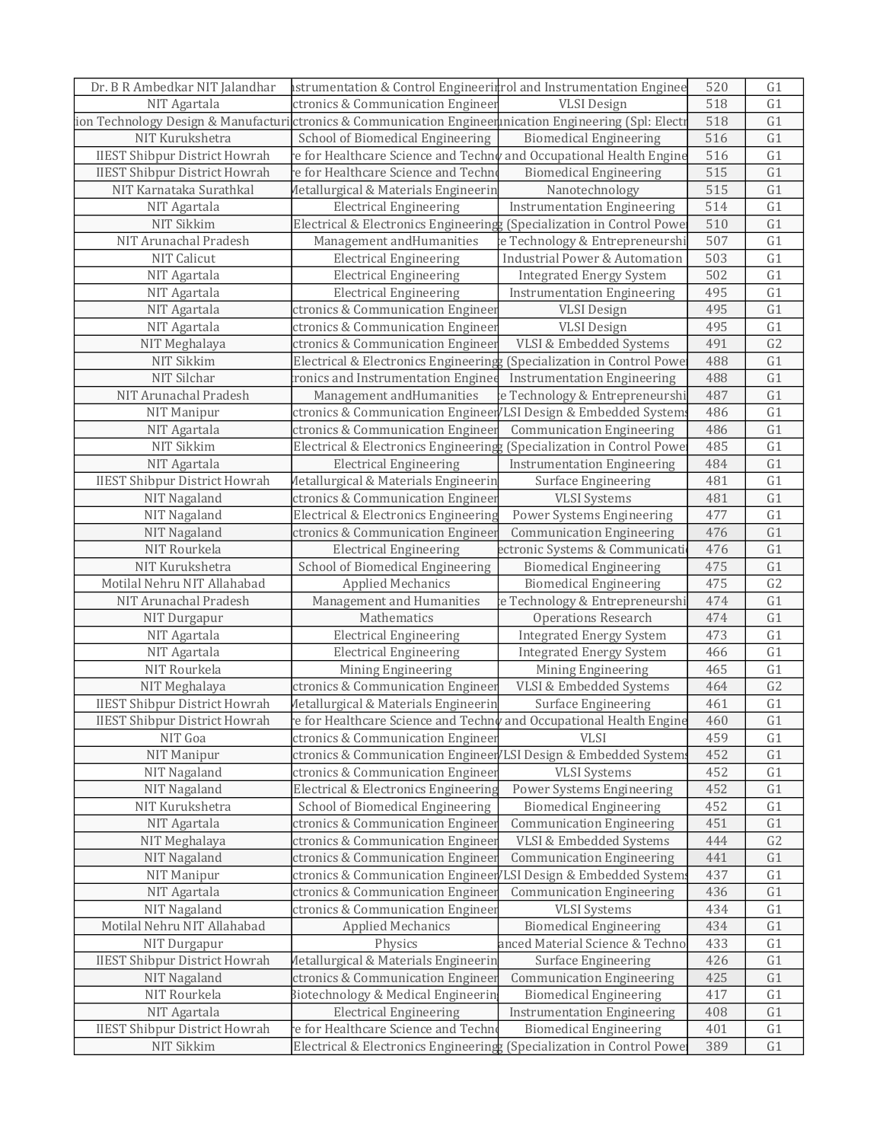| Dr. B R Ambedkar NIT Jalandhar                                                                         | astrumentation & Control Engineeritrol and Instrumentation Enginee           |                                          | 520 | G1              |
|--------------------------------------------------------------------------------------------------------|------------------------------------------------------------------------------|------------------------------------------|-----|-----------------|
| NIT Agartala                                                                                           | ctronics & Communication Engineer                                            | <b>VLSI</b> Design                       | 518 | G1              |
| ion Technology Design & Manufacturi ctronics & Communication Engineennication Engineering (Spl: Electı |                                                                              |                                          | 518 | G1              |
| NIT Kurukshetra                                                                                        | School of Biomedical Engineering                                             | <b>Biomedical Engineering</b>            | 516 | G1              |
| <b>IIEST Shibpur District Howrah</b>                                                                   | e for Healthcare Science and Techn $\sqrt{r}$ and Occupational Health Engine |                                          | 516 | G1              |
| <b>IIEST Shibpur District Howrah</b>                                                                   | e for Healthcare Science and Techn                                           | <b>Biomedical Engineering</b>            | 515 | G1              |
| NIT Karnataka Surathkal                                                                                | Metallurgical & Materials Engineerin                                         | Nanotechnology                           | 515 | G1              |
| NIT Agartala                                                                                           | <b>Electrical Engineering</b>                                                | <b>Instrumentation Engineering</b>       | 514 | $\overline{G1}$ |
| NIT Sikkim                                                                                             | Electrical & Electronics Engineering: (Specialization in Control Powe        |                                          | 510 | G1              |
| NIT Arunachal Pradesh                                                                                  | Management and Humanities                                                    | e Technology & Entrepreneurshi           | 507 | G1              |
| <b>NIT Calicut</b>                                                                                     | <b>Electrical Engineering</b>                                                | <b>Industrial Power &amp; Automation</b> | 503 | G1              |
| NIT Agartala                                                                                           | <b>Electrical Engineering</b>                                                | <b>Integrated Energy System</b>          | 502 | G1              |
| NIT Agartala                                                                                           | <b>Electrical Engineering</b>                                                | <b>Instrumentation Engineering</b>       | 495 | G1              |
| NIT Agartala                                                                                           | ctronics & Communication Enginee                                             | <b>VLSI</b> Design                       | 495 | G1              |
| NIT Agartala                                                                                           | ctronics & Communication Enginee                                             | <b>VLSI</b> Design                       | 495 | G1              |
| NIT Meghalaya                                                                                          | ctronics & Communication Engineer                                            | VLSI & Embedded Systems                  | 491 | G <sub>2</sub>  |
| NIT Sikkim                                                                                             | Electrical & Electronics Engineering (Specialization in Control Powe         |                                          | 488 | $\overline{G1}$ |
| NIT Silchar                                                                                            | ronics and Instrumentation Enginee                                           | <b>Instrumentation Engineering</b>       | 488 | G1              |
| NIT Arunachal Pradesh                                                                                  | Management and Humanities                                                    | e Technology & Entrepreneurshi           | 487 | G1              |
| <b>NIT Manipur</b>                                                                                     | ctronics & Communication Engineer/LSI Design & Embedded System               |                                          | 486 | G1              |
| NIT Agartala                                                                                           | ctronics & Communication Engineer                                            | <b>Communication Engineering</b>         | 486 | G1              |
| NIT Sikkim                                                                                             | Electrical & Electronics Engineering (Specialization in Control Powe         |                                          | 485 | G1              |
| NIT Agartala                                                                                           | <b>Electrical Engineering</b>                                                | <b>Instrumentation Engineering</b>       | 484 | G1              |
| <b>IIEST Shibpur District Howrah</b>                                                                   | Metallurgical & Materials Engineerin                                         | <b>Surface Engineering</b>               | 481 | G1              |
| NIT Nagaland                                                                                           | ctronics & Communication Engineer                                            | <b>VLSI</b> Systems                      | 481 | G1              |
| NIT Nagaland                                                                                           | Electrical & Electronics Engineering                                         | Power Systems Engineering                | 477 | G1              |
| NIT Nagaland                                                                                           | ctronics & Communication Engineer                                            | <b>Communication Engineering</b>         | 476 | G1              |
| NIT Rourkela                                                                                           | <b>Electrical Engineering</b>                                                | ectronic Systems & Communicati           | 476 | G1              |
| NIT Kurukshetra                                                                                        | School of Biomedical Engineering                                             | <b>Biomedical Engineering</b>            | 475 | G1              |
| Motilal Nehru NIT Allahabad                                                                            | <b>Applied Mechanics</b>                                                     | <b>Biomedical Engineering</b>            | 475 | G2              |
| NIT Arunachal Pradesh                                                                                  | Management and Humanities                                                    | e Technology & Entrepreneurshi           | 474 | G1              |
| NIT Durgapur                                                                                           | Mathematics                                                                  | <b>Operations Research</b>               | 474 | G1              |
| NIT Agartala                                                                                           | <b>Electrical Engineering</b>                                                | <b>Integrated Energy System</b>          | 473 | G1              |
| NIT Agartala                                                                                           | <b>Electrical Engineering</b>                                                | <b>Integrated Energy System</b>          | 466 | G1              |
| NIT Rourkela                                                                                           | Mining Engineering                                                           | Mining Engineering                       | 465 | G1              |
| NIT Meghalaya                                                                                          | ctronics & Communication Engineer                                            | VLSI & Embedded Systems                  | 464 | G2              |
| <b>IIEST Shibpur District Howrah</b>                                                                   | <b>Metallurgical &amp; Materials Engineerin</b>                              | Surface Engineering                      | 461 | G1              |
| <b>IIEST Shibpur District Howrah</b>                                                                   | re for Healthcare Science and Techny and Occupational Health Engine          |                                          | 460 | G1              |
| NIT Goa                                                                                                | ctronics & Communication Engineer                                            | <b>VLSI</b>                              | 459 | G1              |
| NIT Manipur                                                                                            | ctronics & Communication Engineer LSI Design & Embedded System               |                                          | 452 | G1              |
| NIT Nagaland                                                                                           | ctronics & Communication Enginee:                                            | <b>VLSI</b> Systems                      | 452 | G1              |
| NIT Nagaland                                                                                           | Electrical & Electronics Engineering                                         | Power Systems Engineering                | 452 | G1              |
| NIT Kurukshetra                                                                                        | School of Biomedical Engineering                                             | <b>Biomedical Engineering</b>            | 452 | G1              |
| NIT Agartala                                                                                           | ctronics & Communication Engineer                                            | <b>Communication Engineering</b>         | 451 | G1              |
| NIT Meghalaya                                                                                          | ctronics & Communication Engineer                                            | VLSI & Embedded Systems                  | 444 | G2              |
| NIT Nagaland                                                                                           | ctronics & Communication Enginee:                                            | <b>Communication Engineering</b>         | 441 | G1              |
| NIT Manipur                                                                                            | ctronics & Communication Engineer                                            | LSI Design & Embedded System:            | 437 | G1              |
| NIT Agartala                                                                                           | ctronics & Communication Enginee:                                            | <b>Communication Engineering</b>         | 436 | G1              |
| NIT Nagaland                                                                                           | ctronics & Communication Engineer                                            | <b>VLSI</b> Systems                      | 434 | G1              |
| Motilal Nehru NIT Allahabad                                                                            | <b>Applied Mechanics</b>                                                     | <b>Biomedical Engineering</b>            | 434 | G1              |
| NIT Durgapur                                                                                           | Physics                                                                      | anced Material Science & Techno          | 433 | G1              |
| <b>IIEST Shibpur District Howrah</b>                                                                   | Metallurgical & Materials Engineerin                                         | Surface Engineering                      | 426 | G1              |
| NIT Nagaland                                                                                           | ctronics & Communication Enginee:                                            | <b>Communication Engineering</b>         | 425 | G1              |
| NIT Rourkela                                                                                           | Biotechnology & Medical Engineerin                                           | <b>Biomedical Engineering</b>            | 417 | G1              |
| NIT Agartala                                                                                           | <b>Electrical Engineering</b>                                                | <b>Instrumentation Engineering</b>       | 408 | G1              |
| <b>IIEST Shibpur District Howrah</b>                                                                   | e for Healthcare Science and Techn                                           |                                          |     | G1              |
|                                                                                                        | Electrical & Electronics Engineering (Specialization in Control Powe         | <b>Biomedical Engineering</b>            | 401 |                 |
| NIT Sikkim                                                                                             |                                                                              |                                          | 389 | G1              |